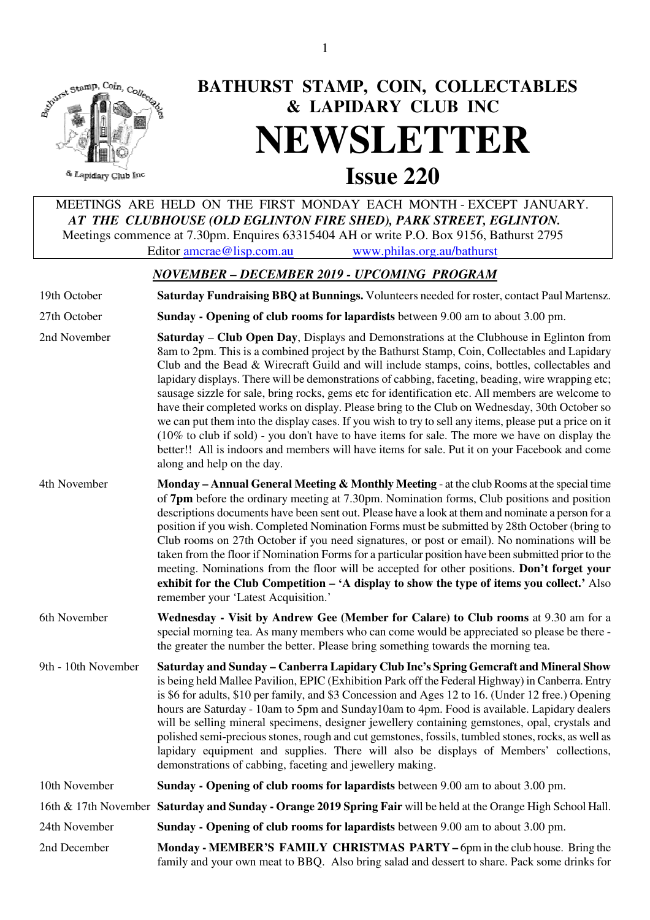

# **BATHURST STAMP, COIN, COLLECTABLES & LAPIDARY CLUB INC NEWSLETTER**<br>Issue 220

& Lapidary Club Inc

 MEETINGS ARE HELD ON THE FIRST MONDAY EACH MONTH - EXCEPT JANUARY.  *AT THE CLUBHOUSE (OLD EGLINTON FIRE SHED), PARK STREET, EGLINTON.*  Meetings commence at 7.30pm. Enquires 63315404 AH or write P.O. Box 9156, Bathurst 2795 Editor amcrae@lisp.com.au www.philas.org.au/bathurst

# *NOVEMBER – DECEMBER 2019 - UPCOMING PROGRAM*

19th October **Saturday Fundraising BBQ at Bunnings.** Volunteers needed for roster, contact Paul Martensz.

27th October **Sunday - Opening of club rooms for lapardists** between 9.00 am to about 3.00 pm.

- 2nd November **Saturday Club Open Day**, Displays and Demonstrations at the Clubhouse in Eglinton from 8am to 2pm. This is a combined project by the Bathurst Stamp, Coin, Collectables and Lapidary Club and the Bead & Wirecraft Guild and will include stamps, coins, bottles, collectables and lapidary displays. There will be demonstrations of cabbing, faceting, beading, wire wrapping etc; sausage sizzle for sale, bring rocks, gems etc for identification etc. All members are welcome to have their completed works on display. Please bring to the Club on Wednesday, 30th October so we can put them into the display cases. If you wish to try to sell any items, please put a price on it (10% to club if sold) - you don't have to have items for sale. The more we have on display the better!! All is indoors and members will have items for sale. Put it on your Facebook and come along and help on the day.
- 4th November **Monday Annual General Meeting & Monthly Meeting** at the club Rooms at the special time of **7pm** before the ordinary meeting at 7.30pm. Nomination forms, Club positions and position descriptions documents have been sent out. Please have a look at them and nominate a person for a position if you wish. Completed Nomination Forms must be submitted by 28th October (bring to Club rooms on 27th October if you need signatures, or post or email). No nominations will be taken from the floor if Nomination Forms for a particular position have been submitted prior to the meeting. Nominations from the floor will be accepted for other positions. **Don't forget your exhibit for the Club Competition – 'A display to show the type of items you collect.'** Also remember your 'Latest Acquisition.'
- 6th November **Wednesday - Visit by Andrew Gee (Member for Calare) to Club rooms** at 9.30 am for a special morning tea. As many members who can come would be appreciated so please be there the greater the number the better. Please bring something towards the morning tea.
- 9th 10th November **Saturday and Sunday Canberra Lapidary Club Inc's Spring Gemcraft and Mineral Show** is being held Mallee Pavilion, EPIC (Exhibition Park off the Federal Highway) in Canberra. Entry is \$6 for adults, \$10 per family, and \$3 Concession and Ages 12 to 16. (Under 12 free.) Opening hours are Saturday - 10am to 5pm and Sunday10am to 4pm. Food is available. Lapidary dealers will be selling mineral specimens, designer jewellery containing gemstones, opal, crystals and polished semi-precious stones, rough and cut gemstones, fossils, tumbled stones, rocks, as well as lapidary equipment and supplies. There will also be displays of Members' collections, demonstrations of cabbing, faceting and jewellery making.

10th November **Sunday - Opening of club rooms for lapardists** between 9.00 am to about 3.00 pm.

16th & 17th November **Saturday and Sunday - Orange 2019 Spring Fair** will be held at the Orange High School Hall.

- 24th November **Sunday Opening of club rooms for lapardists** between 9.00 am to about 3.00 pm.
- 2nd December **Monday - MEMBER'S FAMILY CHRISTMAS PARTY** 6pm in the club house. Bring the family and your own meat to BBQ. Also bring salad and dessert to share. Pack some drinks for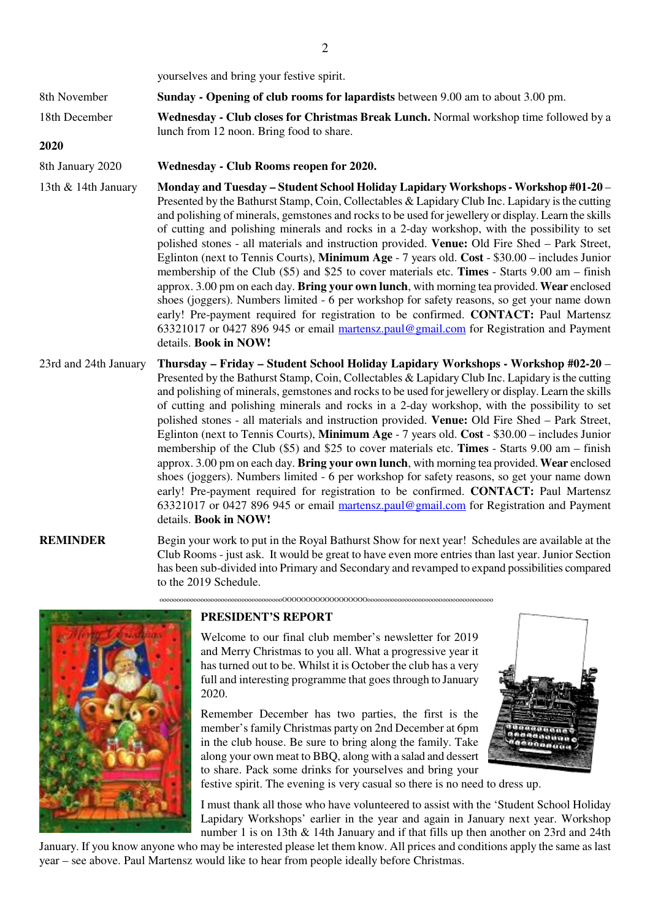yourselves and bring your festive spirit.

8th November **Sunday - Opening of club rooms for lapardists** between 9.00 am to about 3.00 pm.

18th December **Wednesday - Club closes for Christmas Break Lunch.** Normal workshop time followed by a lunch from 12 noon. Bring food to share.

# **2020**

8th January 2020 **Wednesday - Club Rooms reopen for 2020.**

13th & 14th January **Monday and Tuesday – Student School Holiday Lapidary Workshops - Workshop #01-20** – Presented by the Bathurst Stamp, Coin, Collectables & Lapidary Club Inc. Lapidary is the cutting and polishing of minerals, gemstones and rocks to be used for jewellery or display. Learn the skills of cutting and polishing minerals and rocks in a 2-day workshop, with the possibility to set polished stones - all materials and instruction provided. **Venue:** Old Fire Shed – Park Street, Eglinton (next to Tennis Courts), **Minimum Age** - 7 years old. **Cost** - \$30.00 – includes Junior membership of the Club (\$5) and \$25 to cover materials etc. **Times** - Starts 9.00 am – finish approx. 3.00 pm on each day. **Bring your own lunch**, with morning tea provided. **Wear** enclosed shoes (joggers). Numbers limited - 6 per workshop for safety reasons, so get your name down early! Pre-payment required for registration to be confirmed. **CONTACT:** Paul Martensz 63321017 or 0427 896 945 or email martensz.paul@gmail.com for Registration and Payment details. **Book in NOW!** 

23rd and 24th January **Thursday – Friday – Student School Holiday Lapidary Workshops - Workshop #02-20** – Presented by the Bathurst Stamp, Coin, Collectables & Lapidary Club Inc. Lapidary is the cutting and polishing of minerals, gemstones and rocks to be used for jewellery or display. Learn the skills of cutting and polishing minerals and rocks in a 2-day workshop, with the possibility to set polished stones - all materials and instruction provided. **Venue:** Old Fire Shed – Park Street, Eglinton (next to Tennis Courts), **Minimum Age** - 7 years old. **Cost** - \$30.00 – includes Junior membership of the Club (\$5) and \$25 to cover materials etc. **Times** - Starts 9.00 am – finish approx. 3.00 pm on each day. **Bring your own lunch**, with morning tea provided. **Wear** enclosed shoes (joggers). Numbers limited - 6 per workshop for safety reasons, so get your name down early! Pre-payment required for registration to be confirmed. **CONTACT:** Paul Martensz 63321017 or 0427 896 945 or email martensz.paul@gmail.com for Registration and Payment details. **Book in NOW!** 

**REMINDER** Begin your work to put in the Royal Bathurst Show for next year! Schedules are available at the Club Rooms - just ask. It would be great to have even more entries than last year. Junior Section has been sub-divided into Primary and Secondary and revamped to expand possibilities compared to the 2019 Schedule.

ooooooooooooooooooooooooooooooooooooOOOOOOOOOOOOOOOOOOooooooooooooooooooooooooooooooooooooo



# **PRESIDENT'S REPORT**

Welcome to our final club member's newsletter for 2019 and Merry Christmas to you all. What a progressive year it has turned out to be. Whilst it is October the club has a very full and interesting programme that goes through to January 2020.

Remember December has two parties, the first is the member's family Christmas party on 2nd December at 6pm in the club house. Be sure to bring along the family. Take along your own meat to BBQ, along with a salad and dessert to share. Pack some drinks for yourselves and bring your



festive spirit. The evening is very casual so there is no need to dress up.

I must thank all those who have volunteered to assist with the 'Student School Holiday Lapidary Workshops' earlier in the year and again in January next year. Workshop number 1 is on 13th & 14th January and if that fills up then another on 23rd and 24th

January. If you know anyone who may be interested please let them know. All prices and conditions apply the same as last year – see above. Paul Martensz would like to hear from people ideally before Christmas.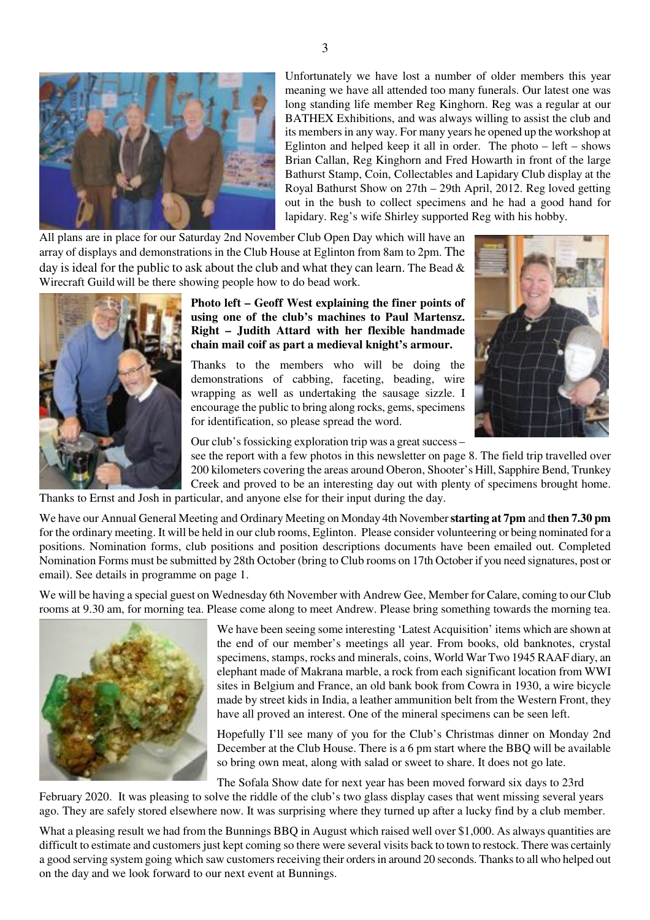

Unfortunately we have lost a number of older members this year meaning we have all attended too many funerals. Our latest one was long standing life member Reg Kinghorn. Reg was a regular at our BATHEX Exhibitions, and was always willing to assist the club and its members in any way. For many years he opened up the workshop at Eglinton and helped keep it all in order. The photo  $-$  left  $-$  shows Brian Callan, Reg Kinghorn and Fred Howarth in front of the large Bathurst Stamp, Coin, Collectables and Lapidary Club display at the Royal Bathurst Show on 27th – 29th April, 2012. Reg loved getting out in the bush to collect specimens and he had a good hand for lapidary. Reg's wife Shirley supported Reg with his hobby.

All plans are in place for our Saturday 2nd November Club Open Day which will have an array of displays and demonstrations in the Club House at Eglinton from 8am to 2pm. The day is ideal for the public to ask about the club and what they can learn. The Bead  $\&$ Wirecraft Guild will be there showing people how to do bead work.



**Photo left – Geoff West explaining the finer points of using one of the club's machines to Paul Martensz. Right – Judith Attard with her flexible handmade chain mail coif as part a medieval knight's armour.** 

Thanks to the members who will be doing the demonstrations of cabbing, faceting, beading, wire wrapping as well as undertaking the sausage sizzle. I encourage the public to bring along rocks, gems, specimens for identification, so please spread the word.



Our club's fossicking exploration trip was a great success –

see the report with a few photos in this newsletter on page 8. The field trip travelled over 200 kilometers covering the areas around Oberon, Shooter's Hill, Sapphire Bend, Trunkey Creek and proved to be an interesting day out with plenty of specimens brought home.

Thanks to Ernst and Josh in particular, and anyone else for their input during the day.

We have our Annual General Meeting and Ordinary Meeting on Monday 4th November **starting at 7pm** and **then 7.30 pm** for the ordinary meeting. It will be held in our club rooms, Eglinton. Please consider volunteering or being nominated for a positions. Nomination forms, club positions and position descriptions documents have been emailed out. Completed Nomination Forms must be submitted by 28th October (bring to Club rooms on 17th October if you need signatures, post or email). See details in programme on page 1.

We will be having a special guest on Wednesday 6th November with Andrew Gee, Member for Calare, coming to our Club rooms at 9.30 am, for morning tea. Please come along to meet Andrew. Please bring something towards the morning tea.



We have been seeing some interesting 'Latest Acquisition' items which are shown at the end of our member's meetings all year. From books, old banknotes, crystal specimens, stamps, rocks and minerals, coins, World War Two 1945 RAAF diary, an elephant made of Makrana marble, a rock from each significant location from WWI sites in Belgium and France, an old bank book from Cowra in 1930, a wire bicycle made by street kids in India, a leather ammunition belt from the Western Front, they have all proved an interest. One of the mineral specimens can be seen left.

Hopefully I'll see many of you for the Club's Christmas dinner on Monday 2nd December at the Club House. There is a 6 pm start where the BBQ will be available so bring own meat, along with salad or sweet to share. It does not go late.

The Sofala Show date for next year has been moved forward six days to 23rd

February 2020. It was pleasing to solve the riddle of the club's two glass display cases that went missing several years ago. They are safely stored elsewhere now. It was surprising where they turned up after a lucky find by a club member.

What a pleasing result we had from the Bunnings BBQ in August which raised well over \$1,000. As always quantities are difficult to estimate and customers just kept coming so there were several visits back to town to restock. There was certainly a good serving system going which saw customers receiving their orders in around 20 seconds. Thanks to all who helped out on the day and we look forward to our next event at Bunnings.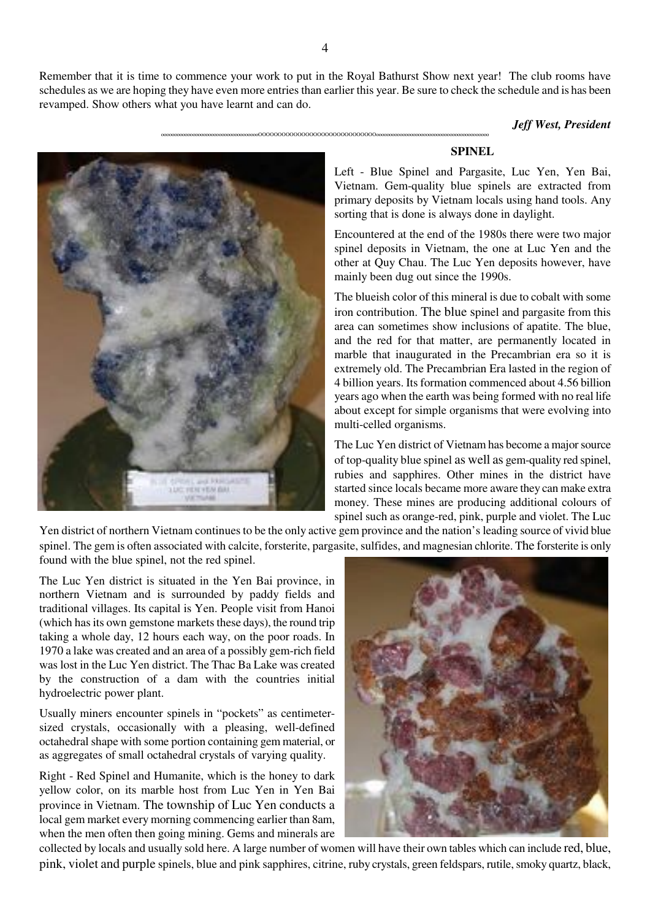Remember that it is time to commence your work to put in the Royal Bathurst Show next year! The club rooms have schedules as we are hoping they have even more entries than earlier this year. Be sure to check the schedule and is has been revamped. Show others what you have learnt and can do.

oooooooooooooooooooooooooooooooooooooOOOOOOOOOOOOOOOOOOOOOOOOOOOOOOooooooooooooooooooooooooooooooooooooooooooo

#### *Jeff West, President*



# **SPINEL**

Left - Blue Spinel and Pargasite, Luc Yen, Yen Bai, Vietnam. Gem-quality blue spinels are extracted from primary deposits by Vietnam locals using hand tools. Any sorting that is done is always done in daylight.

Encountered at the end of the 1980s there were two major spinel deposits in Vietnam, the one at Luc Yen and the other at Quy Chau. The Luc Yen deposits however, have mainly been dug out since the 1990s.

The blueish color of this mineral is due to cobalt with some iron contribution. The blue spinel and pargasite from this area can sometimes show inclusions of apatite. The blue, and the red for that matter, are permanently located in marble that inaugurated in the Precambrian era so it is extremely old. The Precambrian Era lasted in the region of 4 billion years. Its formation commenced about 4.56 billion years ago when the earth was being formed with no real life about except for simple organisms that were evolving into multi-celled organisms.

The Luc Yen district of Vietnam has become a major source of top-quality blue spinel as well as gem-quality red spinel, rubies and sapphires. Other mines in the district have started since locals became more aware they can make extra money. These mines are producing additional colours of spinel such as orange-red, pink, purple and violet. The Luc

Yen district of northern Vietnam continues to be the only active gem province and the nation's leading source of vivid blue spinel. The gem is often associated with calcite, forsterite, pargasite, sulfides, and magnesian chlorite. The forsterite is only found with the blue spinel, not the red spinel.

The Luc Yen district is situated in the Yen Bai province, in northern Vietnam and is surrounded by paddy fields and traditional villages. Its capital is Yen. People visit from Hanoi (which has its own gemstone markets these days), the round trip taking a whole day, 12 hours each way, on the poor roads. In 1970 a lake was created and an area of a possibly gem-rich field was lost in the Luc Yen district. The Thac Ba Lake was created by the construction of a dam with the countries initial hydroelectric power plant.

Usually miners encounter spinels in "pockets" as centimetersized crystals, occasionally with a pleasing, well-defined octahedral shape with some portion containing gem material, or as aggregates of small octahedral crystals of varying quality.

Right - Red Spinel and Humanite, which is the honey to dark yellow color, on its marble host from Luc Yen in Yen Bai province in Vietnam. The township of Luc Yen conducts a local gem market every morning commencing earlier than 8am, when the men often then going mining. Gems and minerals are



collected by locals and usually sold here. A large number of women will have their own tables which can include red, blue, pink, violet and purple spinels, blue and pink sapphires, citrine, ruby crystals, green feldspars, rutile, smoky quartz, black,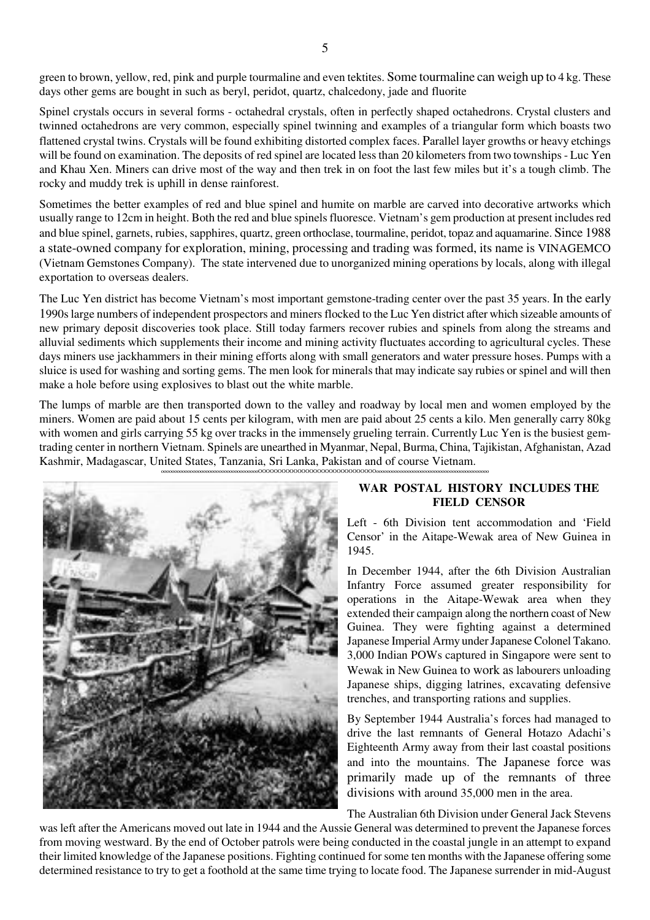green to brown, yellow, red, pink and purple tourmaline and even tektites. Some tourmaline can weigh up to 4 kg. These days other gems are bought in such as beryl, peridot, quartz, chalcedony, jade and fluorite

Spinel crystals occurs in several forms - octahedral crystals, often in perfectly shaped octahedrons. Crystal clusters and twinned octahedrons are very common, especially spinel twinning and examples of a triangular form which boasts two flattened crystal twins. Crystals will be found exhibiting distorted complex faces. Parallel layer growths or heavy etchings will be found on examination. The deposits of red spinel are located less than 20 kilometers from two townships - Luc Yen and Khau Xen. Miners can drive most of the way and then trek in on foot the last few miles but it's a tough climb. The rocky and muddy trek is uphill in dense rainforest.

Sometimes the better examples of red and blue spinel and humite on marble are carved into decorative artworks which usually range to 12cm in height. Both the red and blue spinels fluoresce. Vietnam's gem production at present includes red and blue spinel, garnets, rubies, sapphires, quartz, green orthoclase, tourmaline, peridot, topaz and aquamarine. Since 1988 a state-owned company for exploration, mining, processing and trading was formed, its name is VINAGEMCO (Vietnam Gemstones Company). The state intervened due to unorganized mining operations by locals, along with illegal exportation to overseas dealers.

The Luc Yen district has become Vietnam's most important gemstone-trading center over the past 35 years. In the early 1990s large numbers of independent prospectors and miners flocked to the Luc Yen district after which sizeable amounts of new primary deposit discoveries took place. Still today farmers recover rubies and spinels from along the streams and alluvial sediments which supplements their income and mining activity fluctuates according to agricultural cycles. These days miners use jackhammers in their mining efforts along with small generators and water pressure hoses. Pumps with a sluice is used for washing and sorting gems. The men look for minerals that may indicate say rubies or spinel and will then make a hole before using explosives to blast out the white marble.

The lumps of marble are then transported down to the valley and roadway by local men and women employed by the miners. Women are paid about 15 cents per kilogram, with men are paid about 25 cents a kilo. Men generally carry 80kg with women and girls carrying 55 kg over tracks in the immensely grueling terrain. Currently Luc Yen is the busiest gemtrading center in northern Vietnam. Spinels are unearthed in Myanmar, Nepal, Burma, China, Tajikistan, Afghanistan, Azad Kashmir, Madagascar, United States, Tanzania, Sri Lanka, Pakistan and of course Vietnam.



# **WAR POSTAL HISTORY INCLUDES THE FIELD CENSOR**

Left - 6th Division tent accommodation and 'Field Censor' in the Aitape-Wewak area of New Guinea in 1945.

In December 1944, after the 6th Division Australian Infantry Force assumed greater responsibility for operations in the Aitape-Wewak area when they extended their campaign along the northern coast of New Guinea. They were fighting against a determined Japanese Imperial Army under Japanese Colonel Takano. 3,000 Indian POWs captured in Singapore were sent to Wewak in New Guinea to work as labourers unloading Japanese ships, digging latrines, excavating defensive trenches, and transporting rations and supplies.

By September 1944 Australia's forces had managed to drive the last remnants of General Hotazo Adachi's Eighteenth Army away from their last coastal positions and into the mountains. The Japanese force was primarily made up of the remnants of three divisions with around 35,000 men in the area.

The Australian 6th Division under General Jack Stevens

was left after the Americans moved out late in 1944 and the Aussie General was determined to prevent the Japanese forces from moving westward. By the end of October patrols were being conducted in the coastal jungle in an attempt to expand their limited knowledge of the Japanese positions. Fighting continued for some ten months with the Japanese offering some determined resistance to try to get a foothold at the same time trying to locate food. The Japanese surrender in mid-August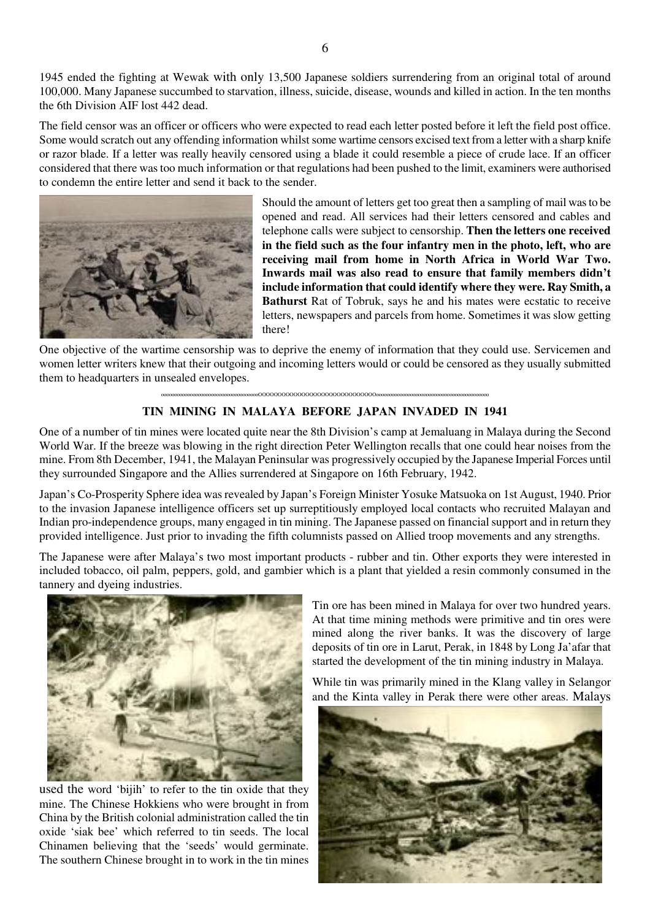1945 ended the fighting at Wewak with only 13,500 Japanese soldiers surrendering from an original total of around 100,000. Many Japanese succumbed to starvation, illness, suicide, disease, wounds and killed in action. In the ten months the 6th Division AIF lost 442 dead.

The field censor was an officer or officers who were expected to read each letter posted before it left the field post office. Some would scratch out any offending information whilst some wartime censors excised text from a letter with a sharp knife or razor blade. If a letter was really heavily censored using a blade it could resemble a piece of crude lace. If an officer considered that there was too much information or that regulations had been pushed to the limit, examiners were authorised to condemn the entire letter and send it back to the sender.



Should the amount of letters get too great then a sampling of mail was to be opened and read. All services had their letters censored and cables and telephone calls were subject to censorship. **Then the letters one received in the field such as the four infantry men in the photo, left, who are receiving mail from home in North Africa in World War Two. Inwards mail was also read to ensure that family members didn't include information that could identify where they were. Ray Smith, a Bathurst** Rat of Tobruk, says he and his mates were ecstatic to receive letters, newspapers and parcels from home. Sometimes it was slow getting there!

One objective of the wartime censorship was to deprive the enemy of information that they could use. Servicemen and women letter writers knew that their outgoing and incoming letters would or could be censored as they usually submitted them to headquarters in unsealed envelopes.

#### oooooooooooooooooooooooooooooooooooooOOOOOOOOOOOOOOOOOOOOOOOOOOOOOOooooooooooooooooooooooooooooooooooooooooooo

# **TIN MINING IN MALAYA BEFORE JAPAN INVADED IN 1941**

One of a number of tin mines were located quite near the 8th Division's camp at Jemaluang in Malaya during the Second World War. If the breeze was blowing in the right direction Peter Wellington recalls that one could hear noises from the mine. From 8th December, 1941, the Malayan Peninsular was progressively occupied by the Japanese Imperial Forces until they surrounded Singapore and the Allies surrendered at Singapore on 16th February, 1942.

Japan's Co-Prosperity Sphere idea was revealed by Japan's Foreign Minister Yosuke Matsuoka on 1st August, 1940. Prior to the invasion Japanese intelligence officers set up surreptitiously employed local contacts who recruited Malayan and Indian pro-independence groups, many engaged in tin mining. The Japanese passed on financial support and in return they provided intelligence. Just prior to invading the fifth columnists passed on Allied troop movements and any strengths.

The Japanese were after Malaya's two most important products - rubber and tin. Other exports they were interested in included tobacco, oil palm, peppers, gold, and gambier which is a plant that yielded a resin commonly consumed in the tannery and dyeing industries.



used the word 'bijih' to refer to the tin oxide that they mine. The Chinese Hokkiens who were brought in from China by the British colonial administration called the tin oxide 'siak bee' which referred to tin seeds. The local Chinamen believing that the 'seeds' would germinate. The southern Chinese brought in to work in the tin mines

Tin ore has been mined in Malaya for over two hundred years. At that time mining methods were primitive and tin ores were mined along the river banks. It was the discovery of large deposits of tin ore in Larut, Perak, in 1848 by Long Ja'afar that started the development of the tin mining industry in Malaya.

While tin was primarily mined in the Klang valley in Selangor and the Kinta valley in Perak there were other areas. Malays

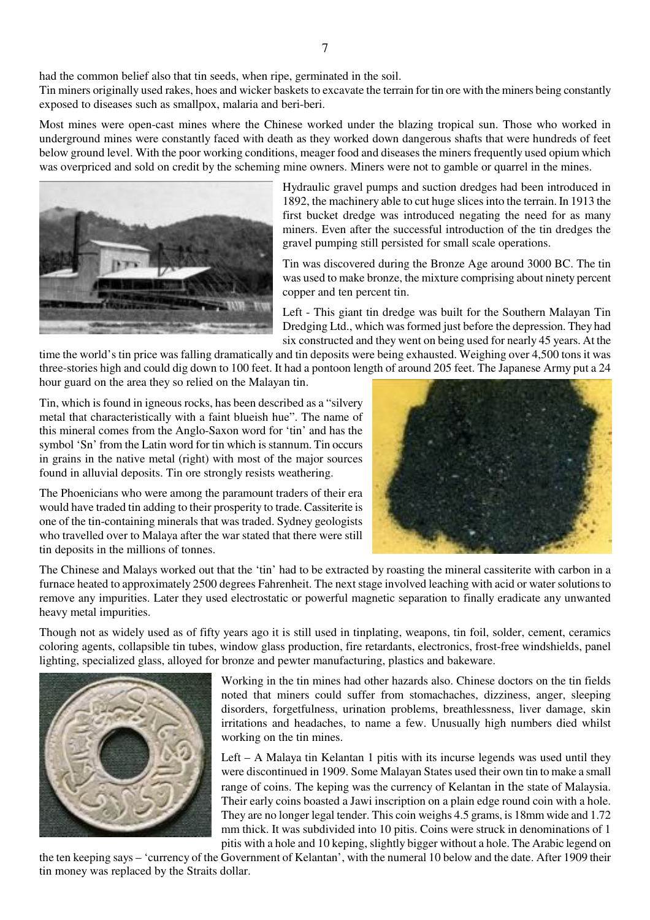had the common belief also that tin seeds, when ripe, germinated in the soil.

Tin miners originally used rakes, hoes and wicker baskets to excavate the terrain for tin ore with the miners being constantly exposed to diseases such as smallpox, malaria and beri-beri.

Most mines were open-cast mines where the Chinese worked under the blazing tropical sun. Those who worked in underground mines were constantly faced with death as they worked down dangerous shafts that were hundreds of feet below ground level. With the poor working conditions, meager food and diseases the miners frequently used opium which was overpriced and sold on credit by the scheming mine owners. Miners were not to gamble or quarrel in the mines.



Hydraulic gravel pumps and suction dredges had been introduced in 1892, the machinery able to cut huge slices into the terrain. In 1913 the first bucket dredge was introduced negating the need for as many miners. Even after the successful introduction of the tin dredges the gravel pumping still persisted for small scale operations.

Tin was discovered during the Bronze Age around 3000 BC. The tin was used to make bronze, the mixture comprising about ninety percent copper and ten percent tin.

Left - This giant tin dredge was built for the Southern Malayan Tin Dredging Ltd., which was formed just before the depression. They had six constructed and they went on being used for nearly 45 years. At the

time the world's tin price was falling dramatically and tin deposits were being exhausted. Weighing over 4,500 tons it was three-stories high and could dig down to 100 feet. It had a pontoon length of around 205 feet. The Japanese Army put a 24 hour guard on the area they so relied on the Malayan tin.

Tin, which is found in igneous rocks, has been described as a "silvery metal that characteristically with a faint blueish hue". The name of this mineral comes from the Anglo-Saxon word for 'tin' and has the symbol 'Sn' from the Latin word for tin which is stannum. Tin occurs in grains in the native metal (right) with most of the major sources found in alluvial deposits. Tin ore strongly resists weathering.

The Phoenicians who were among the paramount traders of their era would have traded tin adding to their prosperity to trade. Cassiterite is one of the tin-containing minerals that was traded. Sydney geologists who travelled over to Malaya after the war stated that there were still tin deposits in the millions of tonnes.



The Chinese and Malays worked out that the 'tin' had to be extracted by roasting the mineral cassiterite with carbon in a furnace heated to approximately 2500 degrees Fahrenheit. The next stage involved leaching with acid or water solutions to remove any impurities. Later they used electrostatic or powerful magnetic separation to finally eradicate any unwanted heavy metal impurities.

Though not as widely used as of fifty years ago it is still used in tinplating, weapons, tin foil, solder, cement, ceramics coloring agents, collapsible tin tubes, window glass production, fire retardants, electronics, frost-free windshields, panel lighting, specialized glass, alloyed for bronze and pewter manufacturing, plastics and bakeware.



Working in the tin mines had other hazards also. Chinese doctors on the tin fields noted that miners could suffer from stomachaches, dizziness, anger, sleeping disorders, forgetfulness, urination problems, breathlessness, liver damage, skin irritations and headaches, to name a few. Unusually high numbers died whilst working on the tin mines.

Left – A Malaya tin Kelantan 1 pitis with its incurse legends was used until they were discontinued in 1909. Some Malayan States used their own tin to make a small range of coins. The keping was the currency of Kelantan in the state of Malaysia. Their early coins boasted a Jawi inscription on a plain edge round coin with a hole. They are no longer legal tender. This coin weighs 4.5 grams, is 18mm wide and 1.72 mm thick. It was subdivided into 10 pitis. Coins were struck in denominations of 1 pitis with a hole and 10 keping, slightly bigger without a hole. The Arabic legend on

the ten keeping says – 'currency of the Government of Kelantan', with the numeral 10 below and the date. After 1909 their tin money was replaced by the Straits dollar.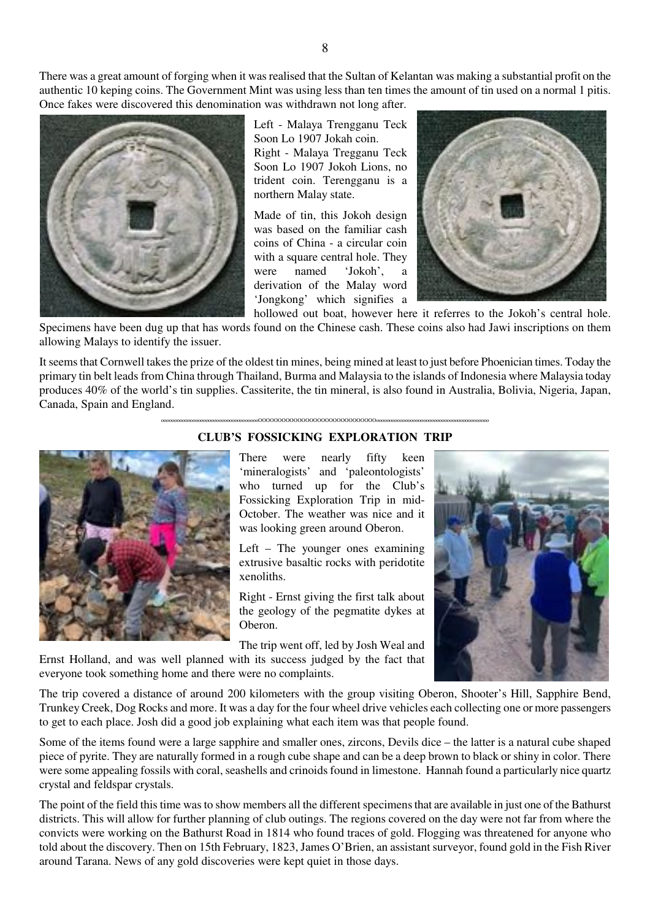There was a great amount of forging when it was realised that the Sultan of Kelantan was making a substantial profit on the authentic 10 keping coins. The Government Mint was using less than ten times the amount of tin used on a normal 1 pitis. Once fakes were discovered this denomination was withdrawn not long after.



Left - Malaya Trengganu Teck Soon Lo 1907 Jokah coin. Right - Malaya Tregganu Teck Soon Lo 1907 Jokoh Lions, no trident coin. Terengganu is a northern Malay state.

Made of tin, this Jokoh design was based on the familiar cash coins of China - a circular coin with a square central hole. They were named 'Jokoh', a derivation of the Malay word 'Jongkong' which signifies a hollowed out boat, however here it referres to the Jokoh's central hole.



Specimens have been dug up that has words found on the Chinese cash. These coins also had Jawi inscriptions on them allowing Malays to identify the issuer.

It seems that Cornwell takes the prize of the oldest tin mines, being mined at least to just before Phoenician times. Today the primary tin belt leads from China through Thailand, Burma and Malaysia to the islands of Indonesia where Malaysia today produces 40% of the world's tin supplies. Cassiterite, the tin mineral, is also found in Australia, Bolivia, Nigeria, Japan, Canada, Spain and England.



oooooooooooooooooooooooooooooooooooooOOOOOOOOOOOOOOOOOOOOOOOOOOOOOOooooooooooooooooooooooooooooooooooooooooooo

#### **CLUB'S FOSSICKING EXPLORATION TRIP**

There were nearly fifty keen 'mineralogists' and 'paleontologists' who turned up for the Club's Fossicking Exploration Trip in mid-October. The weather was nice and it was looking green around Oberon.

Left – The younger ones examining extrusive basaltic rocks with peridotite xenoliths.

Right - Ernst giving the first talk about the geology of the pegmatite dykes at Oberon.

The trip went off, led by Josh Weal and



The trip covered a distance of around 200 kilometers with the group visiting Oberon, Shooter's Hill, Sapphire Bend, Trunkey Creek, Dog Rocks and more. It was a day for the four wheel drive vehicles each collecting one or more passengers to get to each place. Josh did a good job explaining what each item was that people found.

Ernst Holland, and was well planned with its success judged by the fact that

everyone took something home and there were no complaints.

Some of the items found were a large sapphire and smaller ones, zircons, Devils dice – the latter is a natural cube shaped piece of pyrite. They are naturally formed in a rough cube shape and can be a deep brown to black or shiny in color. There were some appealing fossils with coral, seashells and crinoids found in limestone. Hannah found a particularly nice quartz crystal and feldspar crystals.

The point of the field this time was to show members all the different specimens that are available in just one of the Bathurst districts. This will allow for further planning of club outings. The regions covered on the day were not far from where the convicts were working on the Bathurst Road in 1814 who found traces of gold. Flogging was threatened for anyone who told about the discovery. Then on 15th February, 1823, James O'Brien, an assistant surveyor, found gold in the Fish River around Tarana. News of any gold discoveries were kept quiet in those days.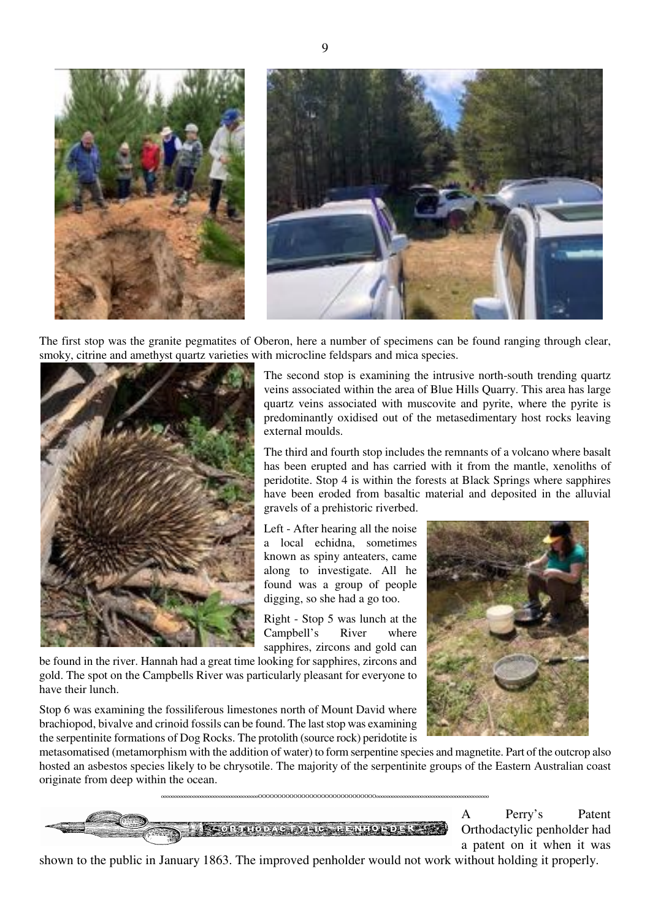

The first stop was the granite pegmatites of Oberon, here a number of specimens can be found ranging through clear, smoky, citrine and amethyst quartz varieties with microcline feldspars and mica species.



The second stop is examining the intrusive north-south trending quartz veins associated within the area of Blue Hills Quarry. This area has large quartz veins associated with muscovite and pyrite, where the pyrite is predominantly oxidised out of the metasedimentary host rocks leaving external moulds.

The third and fourth stop includes the remnants of a volcano where basalt has been erupted and has carried with it from the mantle, xenoliths of peridotite. Stop 4 is within the forests at Black Springs where sapphires have been eroded from basaltic material and deposited in the alluvial gravels of a prehistoric riverbed.

Left - After hearing all the noise a local echidna, sometimes known as spiny anteaters, came along to investigate. All he found was a group of people digging, so she had a go too.

Right - Stop 5 was lunch at the Campbell's River where sapphires, zircons and gold can



be found in the river. Hannah had a great time looking for sapphires, zircons and gold. The spot on the Campbells River was particularly pleasant for everyone to have their lunch.

Stop 6 was examining the fossiliferous limestones north of Mount David where brachiopod, bivalve and crinoid fossils can be found. The last stop was examining the serpentinite formations of Dog Rocks. The protolith (source rock) peridotite is

metasomatised (metamorphism with the addition of water) to form serpentine species and magnetite. Part of the outcrop also hosted an asbestos species likely to be chrysotile. The majority of the serpentinite groups of the Eastern Australian coast originate from deep within the ocean.

oooooooooooooooooooooooooooooooooooooOOOOOOOOOOOOOOOOOOOOOOOOOOOOOOooooooooooooooooooooooooooooooooooooooooooo



A Perry's Patent Orthodactylic penholder had a patent on it when it was

shown to the public in January 1863. The improved penholder would not work without holding it properly.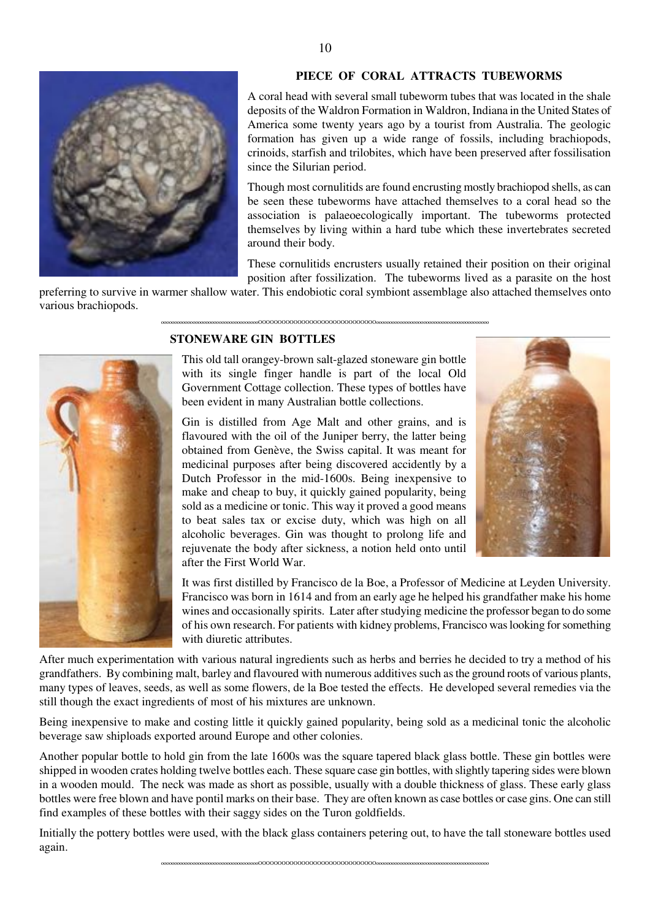

### **PIECE OF CORAL ATTRACTS TUBEWORMS**

A coral head with several small tubeworm tubes that was located in the shale deposits of the Waldron Formation in Waldron, Indiana in the United States of America some twenty years ago by a tourist from Australia. The geologic formation has given up a wide range of fossils, including brachiopods, crinoids, starfish and trilobites, which have been preserved after fossilisation since the Silurian period.

Though most cornulitids are found encrusting mostly brachiopod shells, as can be seen these tubeworms have attached themselves to a coral head so the association is palaeoecologically important. The tubeworms protected themselves by living within a hard tube which these invertebrates secreted around their body.

These cornulitids encrusters usually retained their position on their original position after fossilization. The tubeworms lived as a parasite on the host

preferring to survive in warmer shallow water. This endobiotic coral symbiont assemblage also attached themselves onto various brachiopods. oooooooooooooooooooooooooooooooooooooOOOOOOOOOOOOOOOOOOOOOOOOOOOOOOooooooooooooooooooooooooooooooooooooooooooo

# **STONEWARE GIN BOTTLES**

This old tall orangey-brown salt-glazed stoneware gin bottle with its single finger handle is part of the local Old Government Cottage collection. These types of bottles have been evident in many Australian bottle collections.

Gin is distilled from Age Malt and other grains, and is flavoured with the oil of the Juniper berry, the latter being obtained from Genève, the Swiss capital. It was meant for medicinal purposes after being discovered accidently by a Dutch Professor in the mid-1600s. Being inexpensive to make and cheap to buy, it quickly gained popularity, being sold as a medicine or tonic. This way it proved a good means to beat sales tax or excise duty, which was high on all alcoholic beverages. Gin was thought to prolong life and rejuvenate the body after sickness, a notion held onto until after the First World War.



It was first distilled by Francisco de la Boe, a Professor of Medicine at Leyden University. Francisco was born in 1614 and from an early age he helped his grandfather make his home wines and occasionally spirits. Later after studying medicine the professor began to do some of his own research. For patients with kidney problems, Francisco was looking for something with diuretic attributes.

After much experimentation with various natural ingredients such as herbs and berries he decided to try a method of his grandfathers. By combining malt, barley and flavoured with numerous additives such as the ground roots of various plants, many types of leaves, seeds, as well as some flowers, de la Boe tested the effects. He developed several remedies via the still though the exact ingredients of most of his mixtures are unknown.

Being inexpensive to make and costing little it quickly gained popularity, being sold as a medicinal tonic the alcoholic beverage saw shiploads exported around Europe and other colonies.

Another popular bottle to hold gin from the late 1600s was the square tapered black glass bottle. These gin bottles were shipped in wooden crates holding twelve bottles each. These square case gin bottles, with slightly tapering sides were blown in a wooden mould. The neck was made as short as possible, usually with a double thickness of glass. These early glass bottles were free blown and have pontil marks on their base. They are often known as case bottles or case gins. One can still find examples of these bottles with their saggy sides on the Turon goldfields.

Initially the pottery bottles were used, with the black glass containers petering out, to have the tall stoneware bottles used again.

oooooooooooooooooooooooooooooooooooooOOOOOOOOOOOOOOOOOOOOOOOOOOOOOOooooooooooooooooooooooooooooooooooooooooooo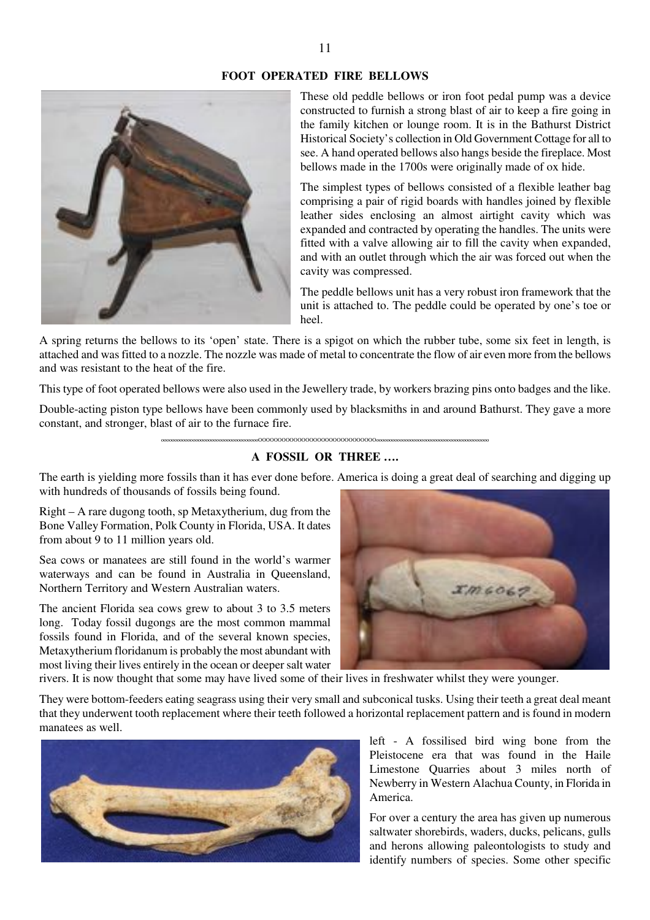# **FOOT OPERATED FIRE BELLOWS**



These old peddle bellows or iron foot pedal pump was a device constructed to furnish a strong blast of air to keep a fire going in the family kitchen or lounge room. It is in the Bathurst District Historical Society's collection in Old Government Cottage for all to see. A hand operated bellows also hangs beside the fireplace. Most bellows made in the 1700s were originally made of ox hide.

The simplest types of bellows consisted of a flexible leather bag comprising a pair of rigid boards with handles joined by flexible leather sides enclosing an almost airtight cavity which was expanded and contracted by operating the handles. The units were fitted with a valve allowing air to fill the cavity when expanded, and with an outlet through which the air was forced out when the cavity was compressed.

The peddle bellows unit has a very robust iron framework that the unit is attached to. The peddle could be operated by one's toe or heel.

A spring returns the bellows to its 'open' state. There is a spigot on which the rubber tube, some six feet in length, is attached and was fitted to a nozzle. The nozzle was made of metal to concentrate the flow of air even more from the bellows and was resistant to the heat of the fire.

This type of foot operated bellows were also used in the Jewellery trade, by workers brazing pins onto badges and the like.

Double-acting piston type bellows have been commonly used by blacksmiths in and around Bathurst. They gave a more constant, and stronger, blast of air to the furnace fire.

oooooooooooooooooooooooooooooooooooooOOOOOOOOOOOOOOOOOOOOOOOOOOOOOOooooooooooooooooooooooooooooooooooooooooooo

#### **A FOSSIL OR THREE ….**

The earth is yielding more fossils than it has ever done before. America is doing a great deal of searching and digging up with hundreds of thousands of fossils being found.

Right – A rare dugong tooth, sp Metaxytherium, dug from the Bone Valley Formation, Polk County in Florida, USA. It dates from about 9 to 11 million years old.

Sea cows or manatees are still found in the world's warmer waterways and can be found in Australia in Queensland, Northern Territory and Western Australian waters.

The ancient Florida sea cows grew to about 3 to 3.5 meters long. Today fossil dugongs are the most common mammal fossils found in Florida, and of the several known species, Metaxytherium floridanum is probably the most abundant with most living their lives entirely in the ocean or deeper salt water



rivers. It is now thought that some may have lived some of their lives in freshwater whilst they were younger.

They were bottom-feeders eating seagrass using their very small and subconical tusks. Using their teeth a great deal meant that they underwent tooth replacement where their teeth followed a horizontal replacement pattern and is found in modern manatees as well.



left - A fossilised bird wing bone from the Pleistocene era that was found in the Haile Limestone Quarries about 3 miles north of Newberry in Western Alachua County, in Florida in America.

For over a century the area has given up numerous saltwater shorebirds, waders, ducks, pelicans, gulls and herons allowing paleontologists to study and identify numbers of species. Some other specific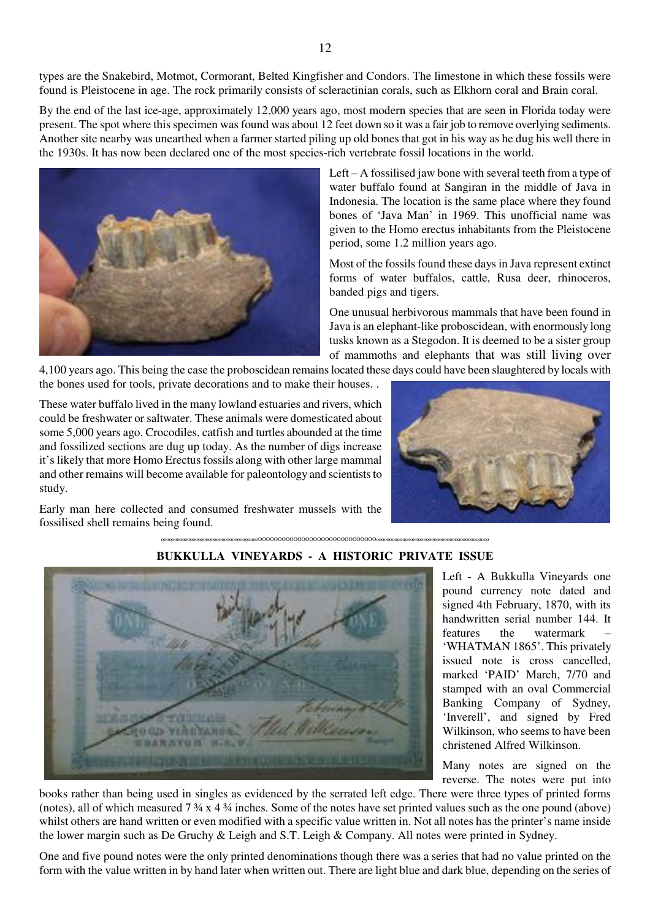types are the Snakebird, Motmot, Cormorant, Belted Kingfisher and Condors. The limestone in which these fossils were found is Pleistocene in age. The rock primarily consists of scleractinian corals, such as Elkhorn coral and Brain coral.

By the end of the last ice-age, approximately 12,000 years ago, most modern species that are seen in Florida today were present. The spot where this specimen was found was about 12 feet down so it was a fair job to remove overlying sediments. Another site nearby was unearthed when a farmer started piling up old bones that got in his way as he dug his well there in the 1930s. It has now been declared one of the most species-rich vertebrate fossil locations in the world.



Left – A fossilised jaw bone with several teeth from a type of water buffalo found at Sangiran in the middle of Java in Indonesia. The location is the same place where they found bones of 'Java Man' in 1969. This unofficial name was given to the Homo erectus inhabitants from the Pleistocene period, some 1.2 million years ago.

Most of the fossils found these days in Java represent extinct forms of water buffalos, cattle, Rusa deer, rhinoceros, banded pigs and tigers.

One unusual herbivorous mammals that have been found in Java is an elephant-like proboscidean, with enormously long tusks known as a Stegodon. It is deemed to be a sister group of mammoths and elephants that was still living over

4,100 years ago. This being the case the proboscidean remains located these days could have been slaughtered by locals with the bones used for tools, private decorations and to make their houses. .

These water buffalo lived in the many lowland estuaries and rivers, which could be freshwater or saltwater. These animals were domesticated about some 5,000 years ago. Crocodiles, catfish and turtles abounded at the time and fossilized sections are dug up today. As the number of digs increase it's likely that more Homo Erectus fossils along with other large mammal and other remains will become available for paleontology and scientists to study.

Early man here collected and consumed freshwater mussels with the fossilised shell remains being found.





# **BUKKULLA VINEYARDS - A HISTORIC PRIVATE ISSUE**

oooooooooooooooooooooooooooooooooooooOOOOOOOOOOOOOOOOOOOOOOOOOOOOOOooooooooooooooooooooooooooooooooooooooooooo

Left - A Bukkulla Vineyards one pound currency note dated and signed 4th February, 1870, with its handwritten serial number 144. It features the watermark 'WHATMAN 1865'. This privately issued note is cross cancelled, marked 'PAID' March, 7/70 and stamped with an oval Commercial Banking Company of Sydney, 'Inverell', and signed by Fred Wilkinson, who seems to have been christened Alfred Wilkinson.

Many notes are signed on the reverse. The notes were put into

books rather than being used in singles as evidenced by the serrated left edge. There were three types of printed forms (notes), all of which measured  $7\frac{3}{4} \times 4\frac{3}{4}$  inches. Some of the notes have set printed values such as the one pound (above) whilst others are hand written or even modified with a specific value written in. Not all notes has the printer's name inside the lower margin such as De Gruchy & Leigh and S.T. Leigh & Company. All notes were printed in Sydney.

One and five pound notes were the only printed denominations though there was a series that had no value printed on the form with the value written in by hand later when written out. There are light blue and dark blue, depending on the series of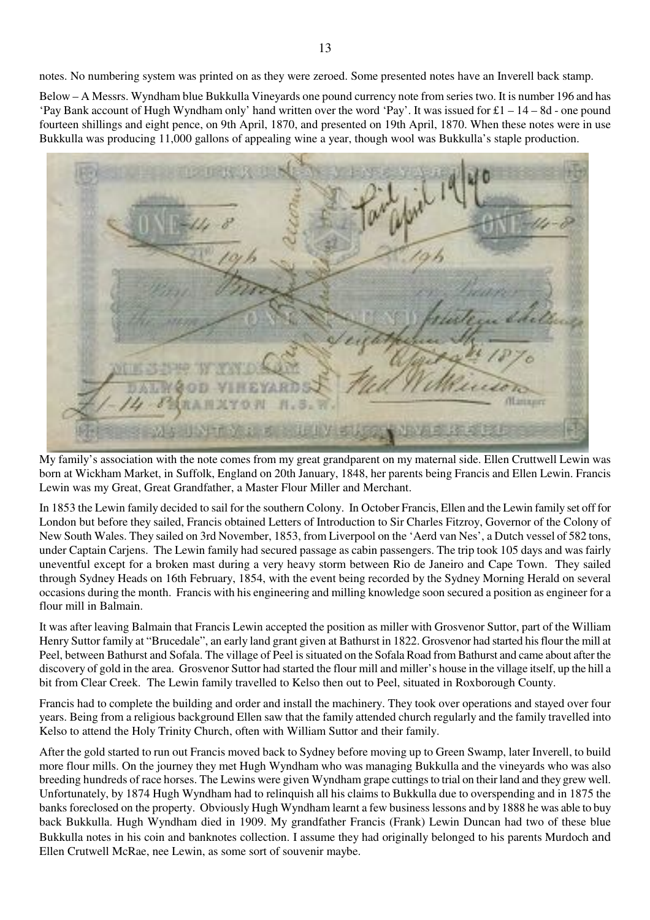notes. No numbering system was printed on as they were zeroed. Some presented notes have an Inverell back stamp.

Below – A Messrs. Wyndham blue Bukkulla Vineyards one pound currency note from series two. It is number 196 and has 'Pay Bank account of Hugh Wyndham only' hand written over the word 'Pay'. It was issued for £1 – 14 – 8d - one pound fourteen shillings and eight pence, on 9th April, 1870, and presented on 19th April, 1870. When these notes were in use Bukkulla was producing 11,000 gallons of appealing wine a year, though wool was Bukkulla's staple production.

**Hantauro** 

My family's association with the note comes from my great grandparent on my maternal side. Ellen Cruttwell Lewin was born at Wickham Market, in Suffolk, England on 20th January, 1848, her parents being Francis and Ellen Lewin. Francis Lewin was my Great, Great Grandfather, a Master Flour Miller and Merchant.

In 1853 the Lewin family decided to sail for the southern Colony. In October Francis, Ellen and the Lewin family set off for London but before they sailed, Francis obtained Letters of Introduction to Sir Charles Fitzroy, Governor of the Colony of New South Wales. They sailed on 3rd November, 1853, from Liverpool on the 'Aerd van Nes', a Dutch vessel of 582 tons, under Captain Carjens. The Lewin family had secured passage as cabin passengers. The trip took 105 days and was fairly uneventful except for a broken mast during a very heavy storm between Rio de Janeiro and Cape Town. They sailed through Sydney Heads on 16th February, 1854, with the event being recorded by the Sydney Morning Herald on several occasions during the month. Francis with his engineering and milling knowledge soon secured a position as engineer for a flour mill in Balmain.

It was after leaving Balmain that Francis Lewin accepted the position as miller with Grosvenor Suttor, part of the William Henry Suttor family at "Brucedale", an early land grant given at Bathurst in 1822. Grosvenor had started his flour the mill at Peel, between Bathurst and Sofala. The village of Peel is situated on the Sofala Road from Bathurst and came about after the discovery of gold in the area. Grosvenor Suttor had started the flour mill and miller's house in the village itself, up the hill a bit from Clear Creek. The Lewin family travelled to Kelso then out to Peel, situated in Roxborough County.

Francis had to complete the building and order and install the machinery. They took over operations and stayed over four years. Being from a religious background Ellen saw that the family attended church regularly and the family travelled into Kelso to attend the Holy Trinity Church, often with William Suttor and their family.

After the gold started to run out Francis moved back to Sydney before moving up to Green Swamp, later Inverell, to build more flour mills. On the journey they met Hugh Wyndham who was managing Bukkulla and the vineyards who was also breeding hundreds of race horses. The Lewins were given Wyndham grape cuttings to trial on their land and they grew well. Unfortunately, by 1874 Hugh Wyndham had to relinquish all his claims to Bukkulla due to overspending and in 1875 the banks foreclosed on the property. Obviously Hugh Wyndham learnt a few business lessons and by 1888 he was able to buy back Bukkulla. Hugh Wyndham died in 1909. My grandfather Francis (Frank) Lewin Duncan had two of these blue Bukkulla notes in his coin and banknotes collection. I assume they had originally belonged to his parents Murdoch and Ellen Crutwell McRae, nee Lewin, as some sort of souvenir maybe.